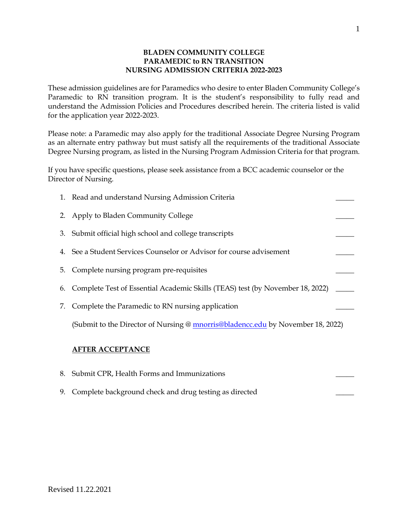### **BLADEN COMMUNITY COLLEGE PARAMEDIC to RN TRANSITION NURSING ADMISSION CRITERIA 2022-2023**

These admission guidelines are for Paramedics who desire to enter Bladen Community College's Paramedic to RN transition program. It is the student's responsibility to fully read and understand the Admission Policies and Procedures described herein. The criteria listed is valid for the application year 2022-2023.

Please note: a Paramedic may also apply for the traditional Associate Degree Nursing Program as an alternate entry pathway but must satisfy all the requirements of the traditional Associate Degree Nursing program, as listed in the Nursing Program Admission Criteria for that program.

If you have specific questions, please seek assistance from a BCC academic counselor or the Director of Nursing.

| 1. Read and understand Nursing Admission Criteria                                |  |
|----------------------------------------------------------------------------------|--|
| 2. Apply to Bladen Community College                                             |  |
| 3. Submit official high school and college transcripts                           |  |
| 4. See a Student Services Counselor or Advisor for course advisement             |  |
| 5. Complete nursing program pre-requisites                                       |  |
| 6. Complete Test of Essential Academic Skills (TEAS) test (by November 18, 2022) |  |
| 7. Complete the Paramedic to RN nursing application                              |  |
| (Submit to the Director of Nursing @ mnorris@bladencc.edu by November 18, 2022)  |  |
| <b>AFTER ACCEPTANCE</b>                                                          |  |

| 8. Submit CPR, Health Forms and Immunizations             |  |
|-----------------------------------------------------------|--|
| 9. Complete background check and drug testing as directed |  |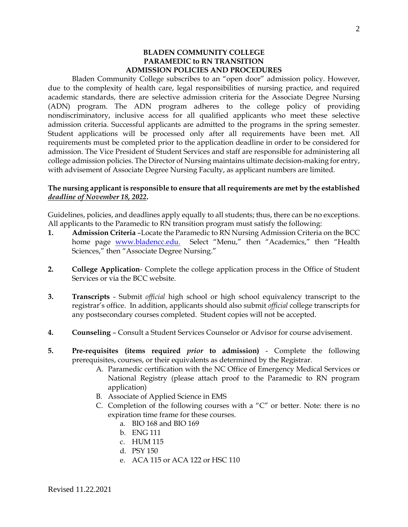#### **BLADEN COMMUNITY COLLEGE PARAMEDIC to RN TRANSITION ADMISSION POLICIES AND PROCEDURES**

Bladen Community College subscribes to an "open door" admission policy. However, due to the complexity of health care, legal responsibilities of nursing practice, and required academic standards, there are selective admission criteria for the Associate Degree Nursing (ADN) program. The ADN program adheres to the college policy of providing nondiscriminatory, inclusive access for all qualified applicants who meet these selective admission criteria. Successful applicants are admitted to the programs in the spring semester. Student applications will be processed only after all requirements have been met. All requirements must be completed prior to the application deadline in order to be considered for admission. The Vice President of Student Services and staff are responsible for administering all college admission policies. The Director of Nursing maintains ultimate decision-making for entry, with advisement of Associate Degree Nursing Faculty, as applicant numbers are limited.

### **The nursing applicant is responsible to ensure that all requirements are met by the established**  *deadline of November 18, 2022***.**

Guidelines, policies, and deadlines apply equally to all students; thus, there can be no exceptions. All applicants to the Paramedic to RN transition program must satisfy the following:

- **1. Admission Criteria** –Locate the Paramedic to RN Nursing Admission Criteria on the BCC home page **[www.bladencc.edu.](http://www.bladencc.edu/)** Select "Menu," then "Academics," then "Health Sciences," then "Associate Degree Nursing."
- **2. College Application** Complete the college application process in the Office of Student Services or via the BCC website.
- **3. Transcripts** Submit *official* high school or high school equivalency transcript to the registrar's office. In addition, applicants should also submit *official* college transcripts for any postsecondary courses completed. Student copies will not be accepted.
- **4. Counseling** Consult a Student Services Counselor or Advisor for course advisement.
- **5. Pre-requisites (items required** *prior* **to admission)** Complete the following prerequisites, courses, or their equivalents as determined by the Registrar.
	- A. Paramedic certification with the NC Office of Emergency Medical Services or National Registry (please attach proof to the Paramedic to RN program application)
	- B. Associate of Applied Science in EMS
	- C. Completion of the following courses with a "C" or better. Note: there is no expiration time frame for these courses.
		- a. BIO 168 and BIO 169
		- b. ENG 111
		- c. HUM 115
		- d. PSY 150
		- e. ACA 115 or ACA 122 or HSC 110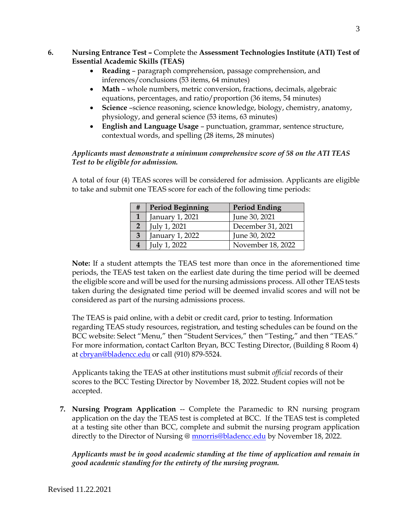# **6. Nursing Entrance Test –** Complete the **Assessment Technologies Institute (ATI) Test of Essential Academic Skills (TEAS)**

- **Reading** paragraph comprehension, passage comprehension, and inferences/conclusions (53 items, 64 minutes)
- **Math** whole numbers, metric conversion, fractions, decimals, algebraic equations, percentages, and ratio/proportion (36 items, 54 minutes)
- **Science** –science reasoning, science knowledge, biology, chemistry, anatomy, physiology, and general science (53 items, 63 minutes)
- **English and Language Usage** punctuation, grammar, sentence structure, contextual words, and spelling (28 items, 28 minutes)

# *Applicants must demonstrate a minimum comprehensive score of 58 on the ATI TEAS Test to be eligible for admission.*

A total of four (4) TEAS scores will be considered for admission. Applicants are eligible to take and submit one TEAS score for each of the following time periods:

| # | <b>Period Beginning</b> | <b>Period Ending</b> |
|---|-------------------------|----------------------|
|   | January 1, 2021         | June 30, 2021        |
|   | July 1, 2021            | December 31, 2021    |
| 3 | January 1, 2022         | June 30, 2022        |
|   | July 1, 2022            | November 18, 2022    |

**Note:** If a student attempts the TEAS test more than once in the aforementioned time periods, the TEAS test taken on the earliest date during the time period will be deemed the eligible score and will be used for the nursing admissions process. All other TEAS tests taken during the designated time period will be deemed invalid scores and will not be considered as part of the nursing admissions process.

The TEAS is paid online, with a debit or credit card, prior to testing. Information regarding TEAS study resources, registration, and testing schedules can be found on the BCC website: Select "Menu," then "Student Services," then "Testing," and then "TEAS." For more information, contact Carlton Bryan, BCC Testing Director, (Building 8 Room 4) at [cbryan@bladencc.edu](mailto:cbryan@bladencc.edu) or call (910) 879-5524.

Applicants taking the TEAS at other institutions must submit *official* records of their scores to the BCC Testing Director by November 18, 2022. Student copies will not be accepted.

**7. Nursing Program Application** -- Complete the Paramedic to RN nursing program application on the day the TEAS test is completed at BCC. If the TEAS test is completed at a testing site other than BCC, complete and submit the nursing program application directly to the Director of Nursing @ [mnorris@bladencc.edu](mailto:mnorris@bladencc.edu) by November 18, 2022.

*Applicants must be in good academic standing at the time of application and remain in good academic standing for the entirety of the nursing program.*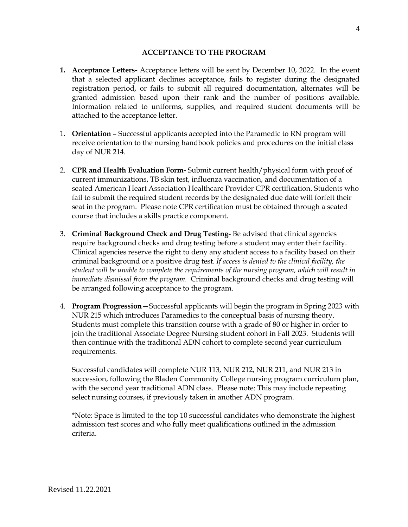## **ACCEPTANCE TO THE PROGRAM**

- **1. Acceptance Letters-** Acceptance letters will be sent by December 10, 2022. In the event that a selected applicant declines acceptance, fails to register during the designated registration period, or fails to submit all required documentation, alternates will be granted admission based upon their rank and the number of positions available. Information related to uniforms, supplies, and required student documents will be attached to the acceptance letter.
- 1. **Orientation** Successful applicants accepted into the Paramedic to RN program will receive orientation to the nursing handbook policies and procedures on the initial class day of NUR 214.
- 2. **CPR and Health Evaluation Form-** Submit current health/physical form with proof of current immunizations, TB skin test, influenza vaccination, and documentation of a seated American Heart Association Healthcare Provider CPR certification. Students who fail to submit the required student records by the designated due date will forfeit their seat in the program. Please note CPR certification must be obtained through a seated course that includes a skills practice component.
- 3. **Criminal Background Check and Drug Testing** Be advised that clinical agencies require background checks and drug testing before a student may enter their facility. Clinical agencies reserve the right to deny any student access to a facility based on their criminal background or a positive drug test. *If access is denied to the clinical facility, the student will be unable to complete the requirements of the nursing program, which will result in immediate dismissal from the program.* Criminal background checks and drug testing will be arranged following acceptance to the program.
- 4. **Program Progression—**Successful applicants will begin the program in Spring 2023 with NUR 215 which introduces Paramedics to the conceptual basis of nursing theory. Students must complete this transition course with a grade of 80 or higher in order to join the traditional Associate Degree Nursing student cohort in Fall 2023. Students will then continue with the traditional ADN cohort to complete second year curriculum requirements.

Successful candidates will complete NUR 113, NUR 212, NUR 211, and NUR 213 in succession, following the Bladen Community College nursing program curriculum plan, with the second year traditional ADN class. Please note: This may include repeating select nursing courses, if previously taken in another ADN program.

\*Note: Space is limited to the top 10 successful candidates who demonstrate the highest admission test scores and who fully meet qualifications outlined in the admission criteria.